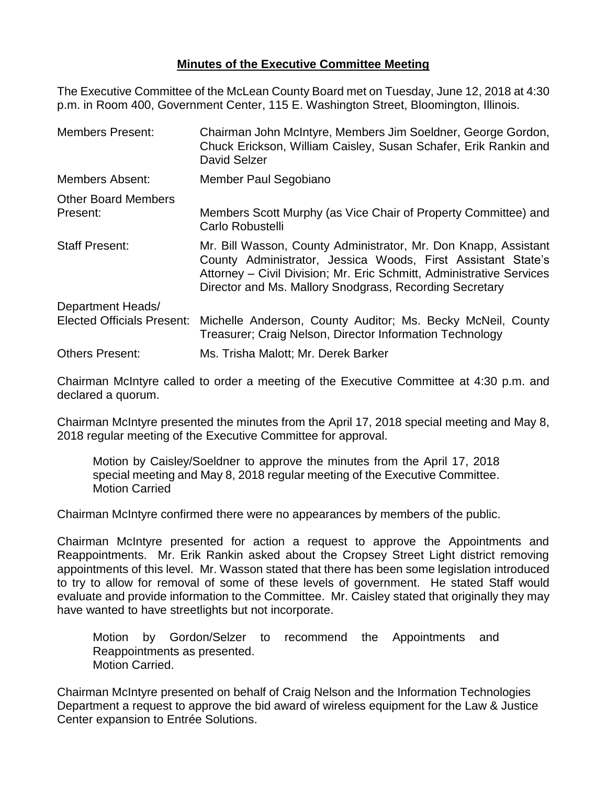## **Minutes of the Executive Committee Meeting**

The Executive Committee of the McLean County Board met on Tuesday, June 12, 2018 at 4:30 p.m. in Room 400, Government Center, 115 E. Washington Street, Bloomington, Illinois.

| <b>Members Present:</b>           | Chairman John McIntyre, Members Jim Soeldner, George Gordon,<br>Chuck Erickson, William Caisley, Susan Schafer, Erik Rankin and<br>David Selzer                                                                                                                    |  |
|-----------------------------------|--------------------------------------------------------------------------------------------------------------------------------------------------------------------------------------------------------------------------------------------------------------------|--|
| <b>Members Absent:</b>            | Member Paul Segobiano                                                                                                                                                                                                                                              |  |
| <b>Other Board Members</b>        |                                                                                                                                                                                                                                                                    |  |
| Present:                          | Members Scott Murphy (as Vice Chair of Property Committee) and<br>Carlo Robustelli                                                                                                                                                                                 |  |
| <b>Staff Present:</b>             | Mr. Bill Wasson, County Administrator, Mr. Don Knapp, Assistant<br>County Administrator, Jessica Woods, First Assistant State's<br>Attorney – Civil Division; Mr. Eric Schmitt, Administrative Services<br>Director and Ms. Mallory Snodgrass, Recording Secretary |  |
| Department Heads/                 |                                                                                                                                                                                                                                                                    |  |
| <b>Elected Officials Present:</b> | Michelle Anderson, County Auditor; Ms. Becky McNeil, County<br>Treasurer; Craig Nelson, Director Information Technology                                                                                                                                            |  |
| <b>Others Present:</b>            | Ms. Trisha Malott; Mr. Derek Barker                                                                                                                                                                                                                                |  |

Chairman McIntyre called to order a meeting of the Executive Committee at 4:30 p.m. and declared a quorum.

Chairman McIntyre presented the minutes from the April 17, 2018 special meeting and May 8, 2018 regular meeting of the Executive Committee for approval.

Motion by Caisley/Soeldner to approve the minutes from the April 17, 2018 special meeting and May 8, 2018 regular meeting of the Executive Committee. Motion Carried

Chairman McIntyre confirmed there were no appearances by members of the public.

Chairman McIntyre presented for action a request to approve the Appointments and Reappointments. Mr. Erik Rankin asked about the Cropsey Street Light district removing appointments of this level. Mr. Wasson stated that there has been some legislation introduced to try to allow for removal of some of these levels of government. He stated Staff would evaluate and provide information to the Committee. Mr. Caisley stated that originally they may have wanted to have streetlights but not incorporate.

Motion by Gordon/Selzer to recommend the Appointments and Reappointments as presented. Motion Carried.

Chairman McIntyre presented on behalf of Craig Nelson and the Information Technologies Department a request to approve the bid award of wireless equipment for the Law & Justice Center expansion to Entrée Solutions.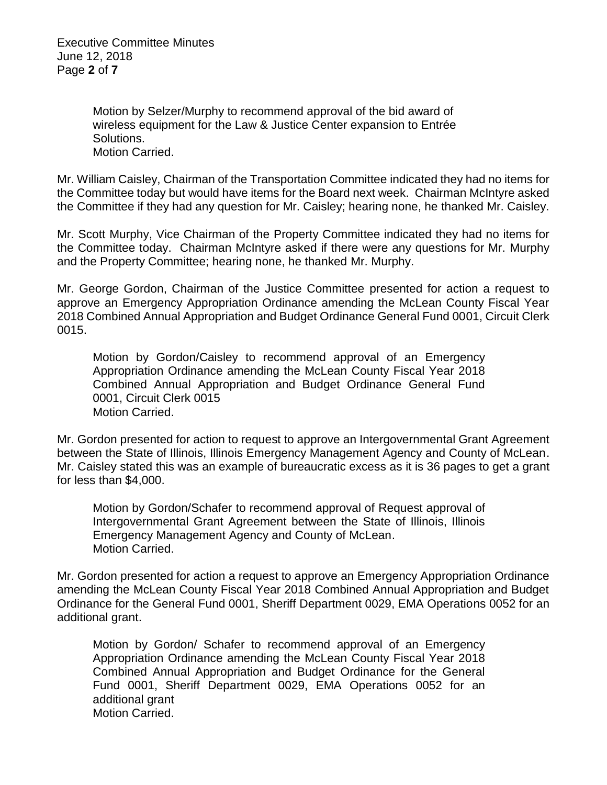Executive Committee Minutes June 12, 2018 Page **2** of **7**

> Motion by Selzer/Murphy to recommend approval of the bid award of wireless equipment for the Law & Justice Center expansion to Entrée Solutions. Motion Carried.

Mr. William Caisley, Chairman of the Transportation Committee indicated they had no items for the Committee today but would have items for the Board next week. Chairman McIntyre asked the Committee if they had any question for Mr. Caisley; hearing none, he thanked Mr. Caisley.

Mr. Scott Murphy, Vice Chairman of the Property Committee indicated they had no items for the Committee today. Chairman McIntyre asked if there were any questions for Mr. Murphy and the Property Committee; hearing none, he thanked Mr. Murphy.

Mr. George Gordon, Chairman of the Justice Committee presented for action a request to approve an Emergency Appropriation Ordinance amending the McLean County Fiscal Year 2018 Combined Annual Appropriation and Budget Ordinance General Fund 0001, Circuit Clerk 0015.

Motion by Gordon/Caisley to recommend approval of an Emergency Appropriation Ordinance amending the McLean County Fiscal Year 2018 Combined Annual Appropriation and Budget Ordinance General Fund 0001, Circuit Clerk 0015 Motion Carried.

Mr. Gordon presented for action to request to approve an Intergovernmental Grant Agreement between the State of Illinois, Illinois Emergency Management Agency and County of McLean. Mr. Caisley stated this was an example of bureaucratic excess as it is 36 pages to get a grant for less than \$4,000.

Motion by Gordon/Schafer to recommend approval of Request approval of Intergovernmental Grant Agreement between the State of Illinois, Illinois Emergency Management Agency and County of McLean. Motion Carried.

Mr. Gordon presented for action a request to approve an Emergency Appropriation Ordinance amending the McLean County Fiscal Year 2018 Combined Annual Appropriation and Budget Ordinance for the General Fund 0001, Sheriff Department 0029, EMA Operations 0052 for an additional grant.

Motion by Gordon/ Schafer to recommend approval of an Emergency Appropriation Ordinance amending the McLean County Fiscal Year 2018 Combined Annual Appropriation and Budget Ordinance for the General Fund 0001, Sheriff Department 0029, EMA Operations 0052 for an additional grant Motion Carried.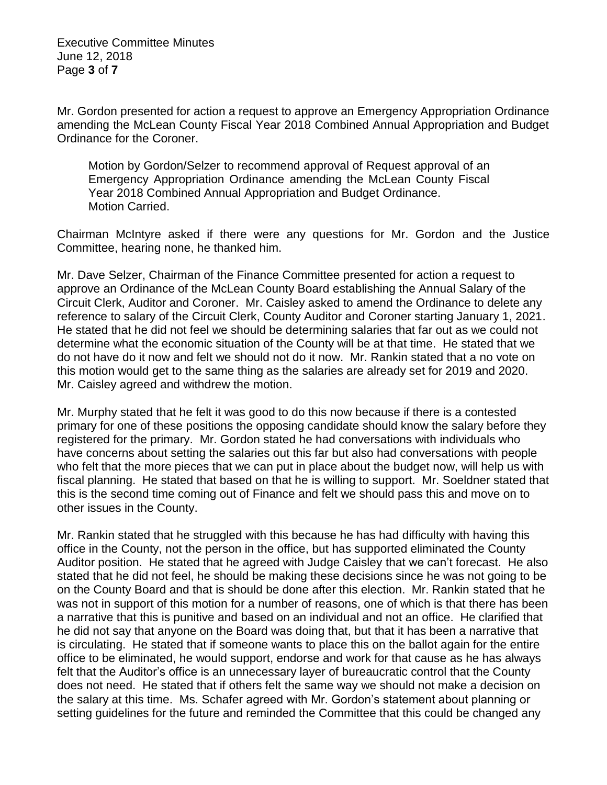Executive Committee Minutes June 12, 2018 Page **3** of **7**

Mr. Gordon presented for action a request to approve an Emergency Appropriation Ordinance amending the McLean County Fiscal Year 2018 Combined Annual Appropriation and Budget Ordinance for the Coroner.

Motion by Gordon/Selzer to recommend approval of Request approval of an Emergency Appropriation Ordinance amending the McLean County Fiscal Year 2018 Combined Annual Appropriation and Budget Ordinance. Motion Carried.

Chairman McIntyre asked if there were any questions for Mr. Gordon and the Justice Committee, hearing none, he thanked him.

Mr. Dave Selzer, Chairman of the Finance Committee presented for action a request to approve an Ordinance of the McLean County Board establishing the Annual Salary of the Circuit Clerk, Auditor and Coroner. Mr. Caisley asked to amend the Ordinance to delete any reference to salary of the Circuit Clerk, County Auditor and Coroner starting January 1, 2021. He stated that he did not feel we should be determining salaries that far out as we could not determine what the economic situation of the County will be at that time. He stated that we do not have do it now and felt we should not do it now. Mr. Rankin stated that a no vote on this motion would get to the same thing as the salaries are already set for 2019 and 2020. Mr. Caisley agreed and withdrew the motion.

Mr. Murphy stated that he felt it was good to do this now because if there is a contested primary for one of these positions the opposing candidate should know the salary before they registered for the primary. Mr. Gordon stated he had conversations with individuals who have concerns about setting the salaries out this far but also had conversations with people who felt that the more pieces that we can put in place about the budget now, will help us with fiscal planning. He stated that based on that he is willing to support. Mr. Soeldner stated that this is the second time coming out of Finance and felt we should pass this and move on to other issues in the County.

Mr. Rankin stated that he struggled with this because he has had difficulty with having this office in the County, not the person in the office, but has supported eliminated the County Auditor position. He stated that he agreed with Judge Caisley that we can't forecast. He also stated that he did not feel, he should be making these decisions since he was not going to be on the County Board and that is should be done after this election. Mr. Rankin stated that he was not in support of this motion for a number of reasons, one of which is that there has been a narrative that this is punitive and based on an individual and not an office. He clarified that he did not say that anyone on the Board was doing that, but that it has been a narrative that is circulating. He stated that if someone wants to place this on the ballot again for the entire office to be eliminated, he would support, endorse and work for that cause as he has always felt that the Auditor's office is an unnecessary layer of bureaucratic control that the County does not need. He stated that if others felt the same way we should not make a decision on the salary at this time. Ms. Schafer agreed with Mr. Gordon's statement about planning or setting guidelines for the future and reminded the Committee that this could be changed any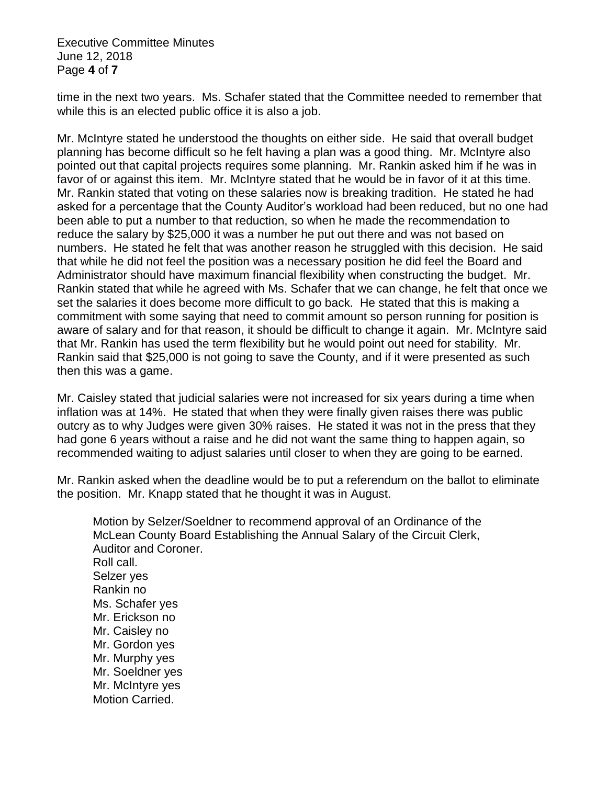Executive Committee Minutes June 12, 2018 Page **4** of **7**

time in the next two years. Ms. Schafer stated that the Committee needed to remember that while this is an elected public office it is also a job.

Mr. McIntyre stated he understood the thoughts on either side. He said that overall budget planning has become difficult so he felt having a plan was a good thing. Mr. McIntyre also pointed out that capital projects requires some planning. Mr. Rankin asked him if he was in favor of or against this item. Mr. McIntyre stated that he would be in favor of it at this time. Mr. Rankin stated that voting on these salaries now is breaking tradition. He stated he had asked for a percentage that the County Auditor's workload had been reduced, but no one had been able to put a number to that reduction, so when he made the recommendation to reduce the salary by \$25,000 it was a number he put out there and was not based on numbers. He stated he felt that was another reason he struggled with this decision. He said that while he did not feel the position was a necessary position he did feel the Board and Administrator should have maximum financial flexibility when constructing the budget. Mr. Rankin stated that while he agreed with Ms. Schafer that we can change, he felt that once we set the salaries it does become more difficult to go back. He stated that this is making a commitment with some saying that need to commit amount so person running for position is aware of salary and for that reason, it should be difficult to change it again. Mr. McIntyre said that Mr. Rankin has used the term flexibility but he would point out need for stability. Mr. Rankin said that \$25,000 is not going to save the County, and if it were presented as such then this was a game.

Mr. Caisley stated that judicial salaries were not increased for six years during a time when inflation was at 14%. He stated that when they were finally given raises there was public outcry as to why Judges were given 30% raises. He stated it was not in the press that they had gone 6 years without a raise and he did not want the same thing to happen again, so recommended waiting to adjust salaries until closer to when they are going to be earned.

Mr. Rankin asked when the deadline would be to put a referendum on the ballot to eliminate the position. Mr. Knapp stated that he thought it was in August.

Motion by Selzer/Soeldner to recommend approval of an Ordinance of the McLean County Board Establishing the Annual Salary of the Circuit Clerk, Auditor and Coroner. Roll call. Selzer yes Rankin no Ms. Schafer yes Mr. Erickson no Mr. Caisley no Mr. Gordon yes Mr. Murphy yes Mr. Soeldner yes Mr. McIntyre yes Motion Carried.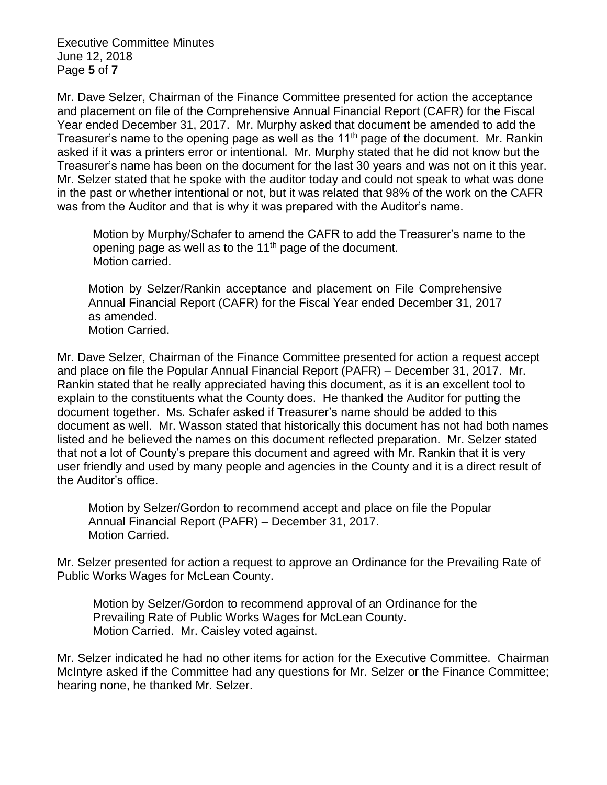Executive Committee Minutes June 12, 2018 Page **5** of **7**

Mr. Dave Selzer, Chairman of the Finance Committee presented for action the acceptance and placement on file of the Comprehensive Annual Financial Report (CAFR) for the Fiscal Year ended December 31, 2017. Mr. Murphy asked that document be amended to add the Treasurer's name to the opening page as well as the 11<sup>th</sup> page of the document. Mr. Rankin asked if it was a printers error or intentional. Mr. Murphy stated that he did not know but the Treasurer's name has been on the document for the last 30 years and was not on it this year. Mr. Selzer stated that he spoke with the auditor today and could not speak to what was done in the past or whether intentional or not, but it was related that 98% of the work on the CAFR was from the Auditor and that is why it was prepared with the Auditor's name.

Motion by Murphy/Schafer to amend the CAFR to add the Treasurer's name to the opening page as well as to the  $11<sup>th</sup>$  page of the document. Motion carried.

Motion by Selzer/Rankin acceptance and placement on File Comprehensive Annual Financial Report (CAFR) for the Fiscal Year ended December 31, 2017 as amended. Motion Carried.

Mr. Dave Selzer, Chairman of the Finance Committee presented for action a request accept and place on file the Popular Annual Financial Report (PAFR) – December 31, 2017. Mr. Rankin stated that he really appreciated having this document, as it is an excellent tool to explain to the constituents what the County does. He thanked the Auditor for putting the document together. Ms. Schafer asked if Treasurer's name should be added to this document as well. Mr. Wasson stated that historically this document has not had both names listed and he believed the names on this document reflected preparation. Mr. Selzer stated that not a lot of County's prepare this document and agreed with Mr. Rankin that it is very user friendly and used by many people and agencies in the County and it is a direct result of the Auditor's office.

Motion by Selzer/Gordon to recommend accept and place on file the Popular Annual Financial Report (PAFR) – December 31, 2017. Motion Carried.

Mr. Selzer presented for action a request to approve an Ordinance for the Prevailing Rate of Public Works Wages for McLean County.

Motion by Selzer/Gordon to recommend approval of an Ordinance for the Prevailing Rate of Public Works Wages for McLean County. Motion Carried. Mr. Caisley voted against.

Mr. Selzer indicated he had no other items for action for the Executive Committee. Chairman McIntyre asked if the Committee had any questions for Mr. Selzer or the Finance Committee; hearing none, he thanked Mr. Selzer.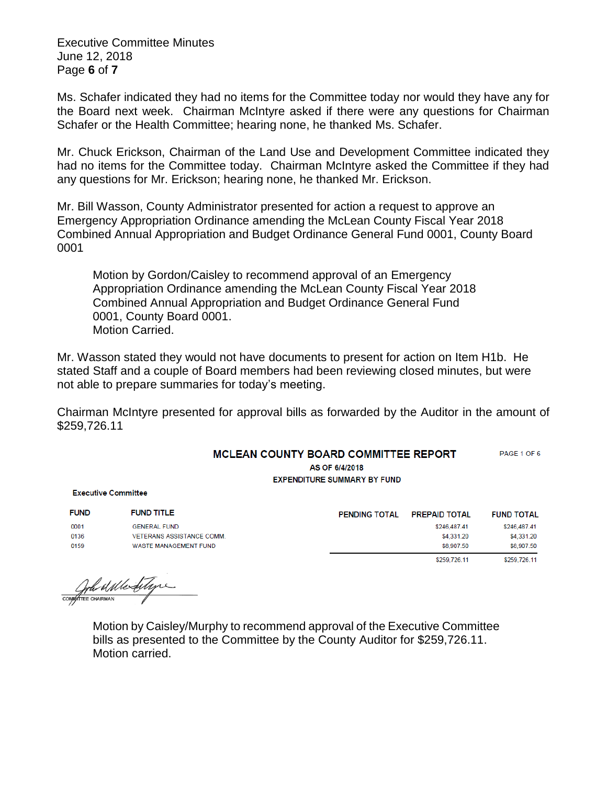Executive Committee Minutes June 12, 2018 Page **6** of **7**

Ms. Schafer indicated they had no items for the Committee today nor would they have any for the Board next week. Chairman McIntyre asked if there were any questions for Chairman Schafer or the Health Committee; hearing none, he thanked Ms. Schafer.

Mr. Chuck Erickson, Chairman of the Land Use and Development Committee indicated they had no items for the Committee today. Chairman McIntyre asked the Committee if they had any questions for Mr. Erickson; hearing none, he thanked Mr. Erickson.

Mr. Bill Wasson, County Administrator presented for action a request to approve an Emergency Appropriation Ordinance amending the McLean County Fiscal Year 2018 Combined Annual Appropriation and Budget Ordinance General Fund 0001, County Board 0001

Motion by Gordon/Caisley to recommend approval of an Emergency Appropriation Ordinance amending the McLean County Fiscal Year 2018 Combined Annual Appropriation and Budget Ordinance General Fund 0001, County Board 0001. Motion Carried.

Mr. Wasson stated they would not have documents to present for action on Item H1b. He stated Staff and a couple of Board members had been reviewing closed minutes, but were not able to prepare summaries for today's meeting.

Chairman McIntyre presented for approval bills as forwarded by the Auditor in the amount of \$259,726.11

## MCLEAN COUNTY BOARD COMMITTEE REPORT PAGE 1 OF 6

AS OF 6/4/2018 **EXPENDITURE SUMMARY BY FUND** 

**Executive Committee** 

| <b>FUND</b> | <b>FUND TITLE</b>                | <b>PENDING TOTAL</b> | <b>PREPAID TOTAL</b> | <b>FUND TOTAL</b> |
|-------------|----------------------------------|----------------------|----------------------|-------------------|
| 0001        | <b>GENERAL FUND</b>              |                      | \$246,487,41         | \$246,487.41      |
| 0136        | <b>VETERANS ASSISTANCE COMM.</b> |                      | \$4,331.20           | \$4,331.20        |
| 0159        | WASTE MANAGEMENT FUND            |                      | \$8,907.50           | \$8,907.50        |
|             |                                  |                      | \$259.726.11         | \$259,726.11      |

COMPAN Mentinge

Motion by Caisley/Murphy to recommend approval of the Executive Committee bills as presented to the Committee by the County Auditor for \$259,726.11. Motion carried.